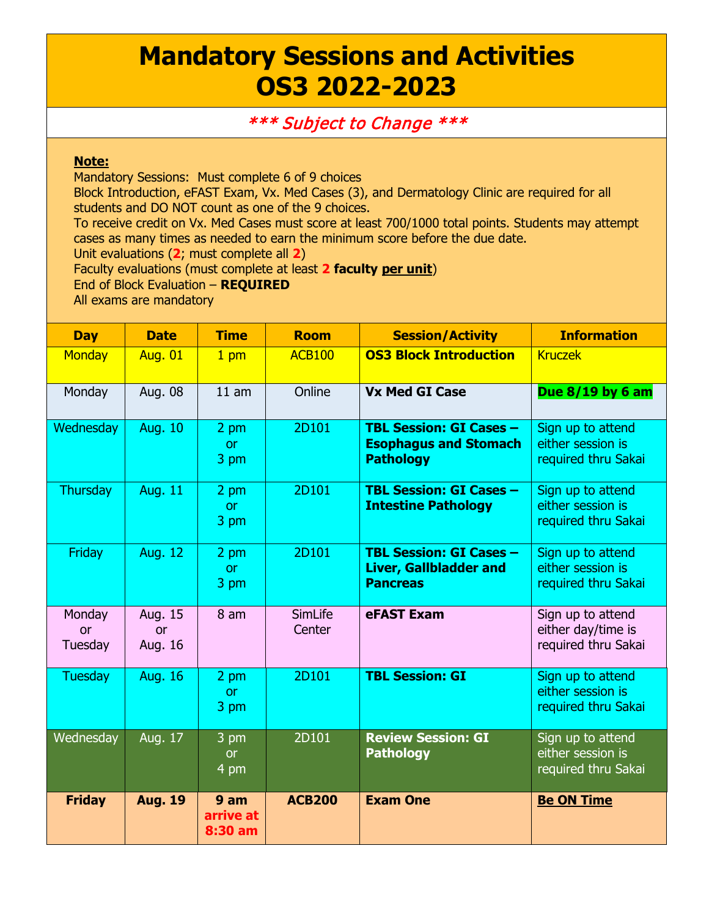## **Mandatory Sessions and Activities OS3 2022-2023**

## \*\*\* Subject to Change \*\*\*

## **Note:**

Mandatory Sessions: Must complete 6 of 9 choices

Block Introduction, eFAST Exam, Vx. Med Cases (3), and Dermatology Clinic are required for all students and DO NOT count as one of the 9 choices.

To receive credit on Vx. Med Cases must score at least 700/1000 total points. Students may attempt cases as many times as needed to earn the minimum score before the due date.

Unit evaluations (**2**; must complete all **2**)

Faculty evaluations (must complete at least **2 faculty per unit**)

End of Block Evaluation – **REQUIRED**

All exams are mandatory

| <b>Day</b>              | <b>Date</b>                     | <b>Time</b>                  | <b>Room</b>       | <b>Session/Activity</b>                                                            | <b>Information</b>                                             |
|-------------------------|---------------------------------|------------------------------|-------------------|------------------------------------------------------------------------------------|----------------------------------------------------------------|
| <b>Monday</b>           | <b>Aug. 01</b>                  | 1 <sub>pm</sub>              | <b>ACB100</b>     | <b>OS3 Block Introduction</b>                                                      | <b>Kruczek</b>                                                 |
| Monday                  | Aug. 08                         | 11 am                        | Online            | <b>Vx Med GI Case</b>                                                              | Due 8/19 by 6 am                                               |
| Wednesday               | <b>Aug. 10</b>                  | 2 pm<br><b>or</b><br>3 pm    | 2D101             | <b>TBL Session: GI Cases -</b><br><b>Esophagus and Stomach</b><br><b>Pathology</b> | Sign up to attend<br>either session is<br>required thru Sakai  |
| Thursday                | <b>Aug. 11</b>                  | 2 pm<br>or<br>3 pm           | 2D101             | <b>TBL Session: GI Cases -</b><br><b>Intestine Pathology</b>                       | Sign up to attend<br>either session is<br>required thru Sakai  |
| Friday                  | <b>Aug. 12</b>                  | 2 pm<br><b>or</b><br>3 pm    | 2D101             | <b>TBL Session: GI Cases -</b><br><b>Liver, Gallbladder and</b><br><b>Pancreas</b> | Sign up to attend<br>either session is<br>required thru Sakai  |
| Monday<br>or<br>Tuesday | Aug. 15<br><b>or</b><br>Aug. 16 | 8 am                         | SimLife<br>Center | eFAST Exam                                                                         | Sign up to attend<br>either day/time is<br>required thru Sakai |
| Tuesday                 | <b>Aug. 16</b>                  | 2 pm<br><b>or</b><br>3 pm    | 2D101             | <b>TBL Session: GI</b>                                                             | Sign up to attend<br>either session is<br>required thru Sakai  |
| Wednesday               | Aug. 17                         | 3 pm<br><b>or</b><br>4 pm    | 2D101             | <b>Review Session: GI</b><br><b>Pathology</b>                                      | Sign up to attend<br>either session is<br>required thru Sakai  |
| <b>Friday</b>           | <b>Aug. 19</b>                  | 9 am<br>arrive at<br>8:30 am | <b>ACB200</b>     | <b>Exam One</b>                                                                    | <b>Be ON Time</b>                                              |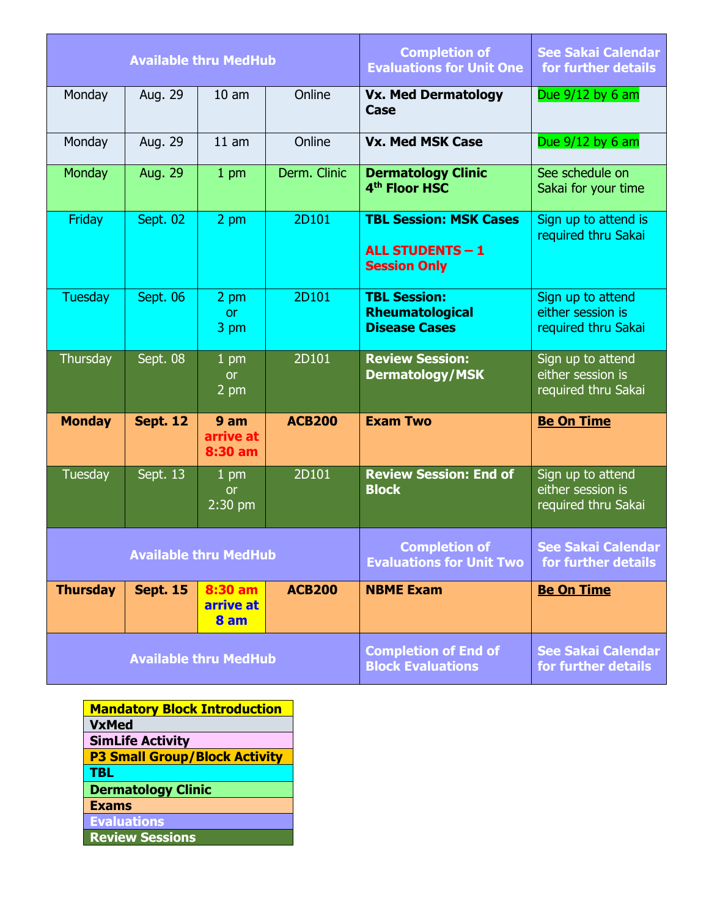|                              |                 | <b>Available thru MedHub</b>   |               | <b>Completion of</b><br><b>Evaluations for Unit One</b>                         | <b>See Sakai Calendar</b><br>for further details              |
|------------------------------|-----------------|--------------------------------|---------------|---------------------------------------------------------------------------------|---------------------------------------------------------------|
| Monday                       | Aug. 29         | 10 <sub>am</sub>               | Online        | <b>Vx. Med Dermatology</b><br>Case                                              | Due 9/12 by 6 am                                              |
| Monday                       | Aug. 29         | 11 am                          | Online        | <b>Vx. Med MSK Case</b>                                                         | Due $9/12$ by 6 am                                            |
| Monday                       | Aug. 29         | 1 pm                           | Derm. Clinic  | <b>Dermatology Clinic</b><br>4 <sup>th</sup> Floor HSC                          | See schedule on<br>Sakai for your time                        |
| Friday                       | Sept. 02        | 2 pm                           | 2D101         | <b>TBL Session: MSK Cases</b><br><b>ALL STUDENTS - 1</b><br><b>Session Only</b> | Sign up to attend is<br>required thru Sakai                   |
| <b>Tuesday</b>               | Sept. 06        | 2 pm<br><b>or</b><br>3 pm      | 2D101         | <b>TBL Session:</b><br><b>Rheumatological</b><br><b>Disease Cases</b>           | Sign up to attend<br>either session is<br>required thru Sakai |
| Thursday                     | Sept. 08        | $1$ pm<br><b>or</b><br>2 pm    | 2D101         | <b>Review Session:</b><br><b>Dermatology/MSK</b>                                | Sign up to attend<br>either session is<br>required thru Sakai |
| <b>Monday</b>                | <b>Sept. 12</b> | 9 am<br>arrive at<br>8:30 am   | <b>ACB200</b> | <b>Exam Two</b>                                                                 | <b>Be On Time</b>                                             |
| Tuesday                      | Sept. 13        | $1$ pm<br><b>or</b><br>2:30 pm | 2D101         | <b>Review Session: End of</b><br><b>Block</b>                                   | Sign up to attend<br>either session is<br>required thru Sakai |
|                              |                 | <b>Available thru MedHub</b>   |               | <b>Completion of</b><br><b>Evaluations for Unit Two</b>                         | <b>See Sakai Calendar</b><br>for further details              |
| <b>Thursday</b>              | <b>Sept. 15</b> | 8:30 am<br>arrive at<br>8 am   | <b>ACB200</b> | <b>NBME Exam</b>                                                                | <b>Be On Time</b>                                             |
| <b>Available thru MedHub</b> |                 |                                |               | <b>Completion of End of</b><br><b>Block Evaluations</b>                         | <b>See Sakai Calendar</b><br>for further details              |

| <b>Mandatory Block Introduction</b>  |  |  |  |  |
|--------------------------------------|--|--|--|--|
| <b>VxMed</b>                         |  |  |  |  |
| <b>SimLife Activity</b>              |  |  |  |  |
| <b>P3 Small Group/Block Activity</b> |  |  |  |  |
| <b>TBL</b>                           |  |  |  |  |
| <b>Dermatology Clinic</b>            |  |  |  |  |
| <b>Exams</b>                         |  |  |  |  |
| <b>Evaluations</b>                   |  |  |  |  |
| <b>Review Sessions</b>               |  |  |  |  |